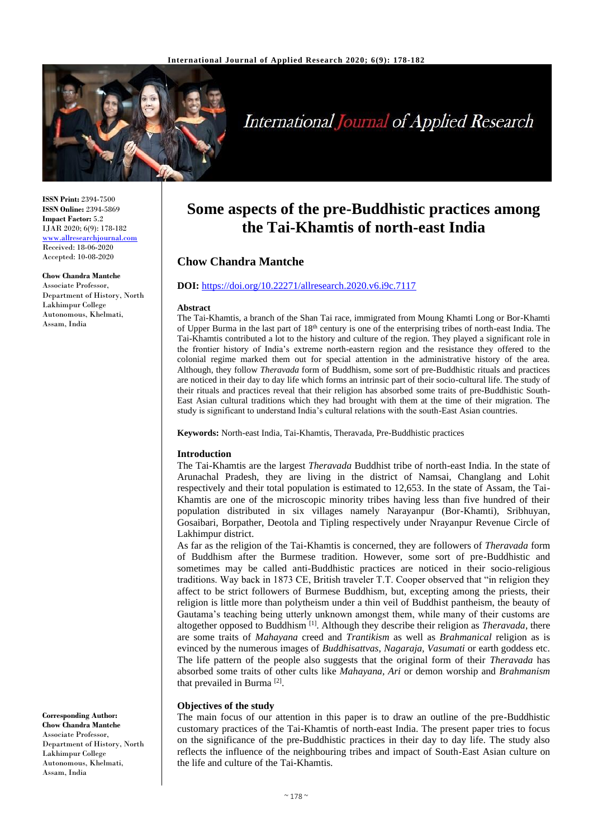

# International Journal of Applied Research

**ISSN Print:** 2394-7500 **ISSN Online:** 2394-5869 **Impact Factor:** 5.2 IJAR 2020; 6(9): 178-182 [www.allresearchjournal.com](http://www.allresearchjournal.com/) Received: 18-06-2020 Accepted: 10-08-2020

#### **Chow Chandra Mantche** Associate Professor,

Department of History, North Lakhimpur College Autonomous, Khelmati, Assam, India

that prevailed in Burma<sup>[2]</sup>.

#### **Objectives of the study**

The main focus of our attention in this paper is to draw an outline of the pre-Buddhistic customary practices of the Tai-Khamtis of north-east India. The present paper tries to focus on the significance of the pre-Buddhistic practices in their day to day life. The study also reflects the influence of the neighbouring tribes and impact of South-East Asian culture on the life and culture of the Tai-Khamtis.

**Corresponding Author: Chow Chandra Mantche** Associate Professor, Department of History, North Lakhimpur College Autonomous, Khelmati, Assam, India

**DOI:** <https://doi.org/10.22271/allresearch.2020.v6.i9c.7117>

**Chow Chandra Mantche**

The Tai-Khamtis, a branch of the Shan Tai race, immigrated from Moung Khamti Long or Bor-Khamti of Upper Burma in the last part of 18th century is one of the enterprising tribes of north-east India. The Tai-Khamtis contributed a lot to the history and culture of the region. They played a significant role in the frontier history of India's extreme north-eastern region and the resistance they offered to the colonial regime marked them out for special attention in the administrative history of the area. Although, they follow *Theravada* form of Buddhism, some sort of pre-Buddhistic rituals and practices are noticed in their day to day life which forms an intrinsic part of their socio-cultural life. The study of their rituals and practices reveal that their religion has absorbed some traits of pre-Buddhistic South-East Asian cultural traditions which they had brought with them at the time of their migration. The study is significant to understand India's cultural relations with the south-East Asian countries.

**Some aspects of the pre-Buddhistic practices among the Tai-Khamtis of north-east India**

**Keywords:** North-east India, Tai-Khamtis, Theravada, Pre-Buddhistic practices

#### **Introduction**

**Abstract**

The Tai-Khamtis are the largest *Theravada* Buddhist tribe of north-east India. In the state of Arunachal Pradesh, they are living in the district of Namsai, Changlang and Lohit respectively and their total population is estimated to 12,653. In the state of Assam, the Tai-Khamtis are one of the microscopic minority tribes having less than five hundred of their population distributed in six villages namely Narayanpur (Bor-Khamti), Sribhuyan, Gosaibari, Borpather, Deotola and Tipling respectively under Nrayanpur Revenue Circle of Lakhimpur district.

As far as the religion of the Tai-Khamtis is concerned, they are followers of *Theravada* form of Buddhism after the Burmese tradition. However, some sort of pre-Buddhistic and sometimes may be called anti-Buddhistic practices are noticed in their socio-religious traditions. Way back in 1873 CE, British traveler T.T. Cooper observed that "in religion they affect to be strict followers of Burmese Buddhism, but, excepting among the priests, their religion is little more than polytheism under a thin veil of Buddhist pantheism, the beauty of Gautama's teaching being utterly unknown amongst them, while many of their customs are altogether opposed to Buddhism [1]. Although they describe their religion as *Theravada*, there are some traits of *Mahayana* creed and *Trantikism* as well as *Brahmanical* religion as is evinced by the numerous images of *Buddhisattvas*, *Nagaraja, Vasumati* or earth goddess etc. The life pattern of the people also suggests that the original form of their *Theravada* has absorbed some traits of other cults like *Mahayana, Ari* or demon worship and *Brahmanism*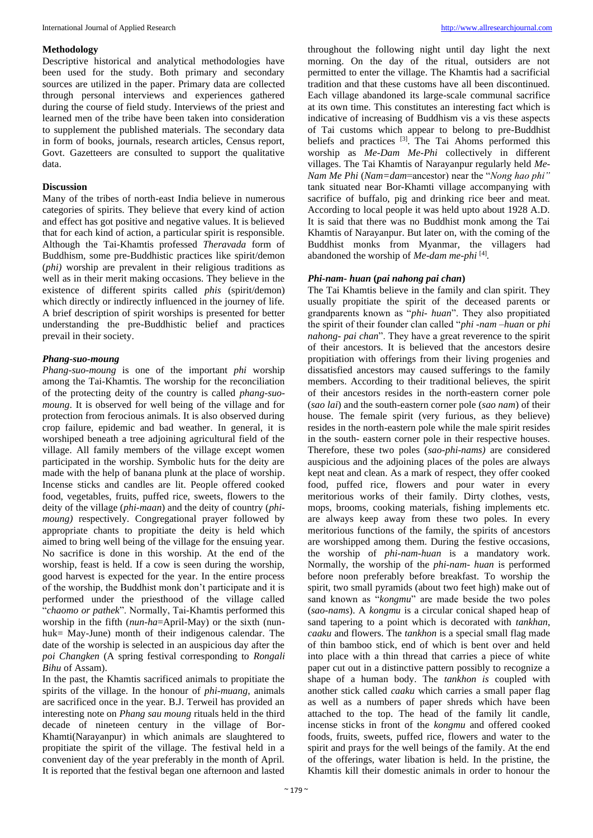# **Methodology**

Descriptive historical and analytical methodologies have been used for the study. Both primary and secondary sources are utilized in the paper. Primary data are collected through personal interviews and experiences gathered during the course of field study. Interviews of the priest and learned men of the tribe have been taken into consideration to supplement the published materials. The secondary data in form of books, journals, research articles, Census report, Govt. Gazetteers are consulted to support the qualitative data.

### **Discussion**

Many of the tribes of north-east India believe in numerous categories of spirits. They believe that every kind of action and effect has got positive and negative values. It is believed that for each kind of action, a particular spirit is responsible. Although the Tai-Khamtis professed *Theravada* form of Buddhism, some pre-Buddhistic practices like spirit/demon (*phi)* worship are prevalent in their religious traditions as well as in their merit making occasions. They believe in the existence of different spirits called *phis* (spirit/demon) which directly or indirectly influenced in the journey of life. A brief description of spirit worships is presented for better understanding the pre-Buddhistic belief and practices prevail in their society.

### *Phang-suo-moung*

*Phang-suo-moung* is one of the important *phi* worship among the Tai-Khamtis. The worship for the reconciliation of the protecting deity of the country is called *phang-suomoung*. It is observed for well being of the village and for protection from ferocious animals. It is also observed during crop failure, epidemic and bad weather. In general, it is worshiped beneath a tree adjoining agricultural field of the village. All family members of the village except women participated in the worship. Symbolic huts for the deity are made with the help of banana plunk at the place of worship. Incense sticks and candles are lit. People offered cooked food, vegetables, fruits, puffed rice, sweets, flowers to the deity of the village (*phi-maan*) and the deity of country (*phimoung)* respectively. Congregational prayer followed by appropriate chants to propitiate the deity is held which aimed to bring well being of the village for the ensuing year. No sacrifice is done in this worship. At the end of the worship, feast is held. If a cow is seen during the worship, good harvest is expected for the year. In the entire process of the worship, the Buddhist monk don't participate and it is performed under the priesthood of the village called "*chaomo or pathek*". Normally, Tai-Khamtis performed this worship in the fifth (*nun-ha*=April-May) or the sixth (nunhuk= May-June) month of their indigenous calendar. The date of the worship is selected in an auspicious day after the *poi Changken* (A spring festival corresponding to *Rongali Bihu* of Assam).

In the past, the Khamtis sacrificed animals to propitiate the spirits of the village. In the honour of *phi-muang*, animals are sacrificed once in the year. B.J. Terweil has provided an interesting note on *Phang sau moung* rituals held in the third decade of nineteen century in the village of Bor-Khamti(Narayanpur) in which animals are slaughtered to propitiate the spirit of the village. The festival held in a convenient day of the year preferably in the month of April. It is reported that the festival began one afternoon and lasted

throughout the following night until day light the next morning. On the day of the ritual, outsiders are not permitted to enter the village. The Khamtis had a sacrificial tradition and that these customs have all been discontinued. Each village abandoned its large-scale communal sacrifice at its own time. This constitutes an interesting fact which is indicative of increasing of Buddhism vis a vis these aspects of Tai customs which appear to belong to pre-Buddhist beliefs and practices <sup>[3]</sup>. The Tai Ahoms performed this worship as *Me-Dam Me-Phi* collectively in different villages. The Tai Khamtis of Narayanpur regularly held *Me-Nam Me Phi* (*Nam=dam*=ancestor) near the "*Nong hao phi"* tank situated near Bor-Khamti village accompanying with sacrifice of buffalo, pig and drinking rice beer and meat. According to local people it was held upto about 1928 A.D. It is said that there was no Buddhist monk among the Tai Khamtis of Narayanpur. But later on, with the coming of the Buddhist monks from Myanmar, the villagers had abandoned the worship of *Me-dam me-phi* [4] *.*

### *Phi-nam- huan* **(***pai nahong pai chan***)**

The Tai Khamtis believe in the family and clan spirit. They usually propitiate the spirit of the deceased parents or grandparents known as "*phi- huan*". They also propitiated the spirit of their founder clan called "*phi -nam –huan* or *phi nahong- pai chan*". They have a great reverence to the spirit of their ancestors. It is believed that the ancestors desire propitiation with offerings from their living progenies and dissatisfied ancestors may caused sufferings to the family members. According to their traditional believes, the spirit of their ancestors resides in the north-eastern corner pole (*sao lai*) and the south-eastern corner pole (*sao nam*) of their house. The female spirit (very furious, as they believe) resides in the north-eastern pole while the male spirit resides in the south- eastern corner pole in their respective houses. Therefore, these two poles (*sao-phi-nams)* are considered auspicious and the adjoining places of the poles are always kept neat and clean. As a mark of respect, they offer cooked food, puffed rice, flowers and pour water in every meritorious works of their family. Dirty clothes, vests, mops, brooms, cooking materials, fishing implements etc. are always keep away from these two poles. In every meritorious functions of the family, the spirits of ancestors are worshipped among them. During the festive occasions, the worship of *phi-nam-huan* is a mandatory work. Normally, the worship of the *phi-nam- huan* is performed before noon preferably before breakfast. To worship the spirit, two small pyramids (about two feet high) make out of sand known as "*kongmu*" are made beside the two poles (*sao-nams*). A *kongmu* is a circular conical shaped heap of sand tapering to a point which is decorated with *tankhan*, *caaku* and flowers. The *tankhon* is a special small flag made of thin bamboo stick, end of which is bent over and held into place with a thin thread that carries a piece of white paper cut out in a distinctive pattern possibly to recognize a shape of a human body. The *tankhon is* coupled with another stick called *caaku* which carries a small paper flag as well as a numbers of paper shreds which have been attached to the top. The head of the family lit candle, incense sticks in front of the *kongmu* and offered cooked foods, fruits, sweets, puffed rice, flowers and water to the spirit and prays for the well beings of the family. At the end of the offerings, water libation is held. In the pristine, the Khamtis kill their domestic animals in order to honour the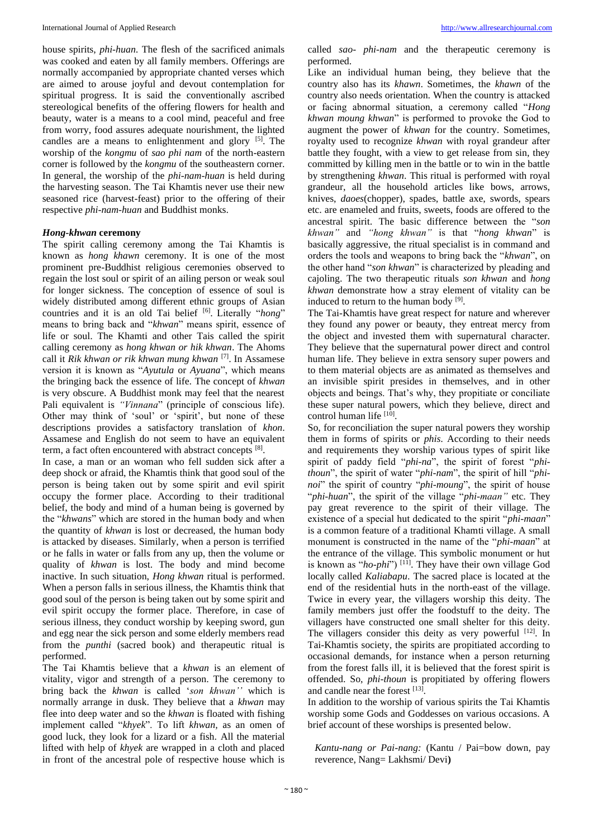house spirits, *phi-huan*. The flesh of the sacrificed animals was cooked and eaten by all family members. Offerings are normally accompanied by appropriate chanted verses which are aimed to arouse joyful and devout contemplation for spiritual progress. It is said the conventionally ascribed stereological benefits of the offering flowers for health and beauty, water is a means to a cool mind, peaceful and free from worry, food assures adequate nourishment, the lighted candles are a means to enlightenment and glory  $[5]$ . The worship of the *kongmu* of *sao phi nam* of the north-eastern corner is followed by the *kongmu* of the southeastern corner. In general, the worship of the *phi-nam-huan* is held during the harvesting season. The Tai Khamtis never use their new seasoned rice (harvest-feast) prior to the offering of their respective *phi-nam-huan* and Buddhist monks.

### *Hong-khwan* **ceremony**

The spirit calling ceremony among the Tai Khamtis is known as *hong khawn* ceremony. It is one of the most prominent pre-Buddhist religious ceremonies observed to regain the lost soul or spirit of an ailing person or weak soul for longer sickness. The conception of essence of soul is widely distributed among different ethnic groups of Asian countries and it is an old Tai belief <sup>[6]</sup>. Literally "*hong*" means to bring back and "*khwan*" means spirit, essence of life or soul. The Khamti and other Tais called the spirit calling ceremony as *hong khwan or hik khwan*. The Ahoms call it *Rik khwan or rik khwan mung khwan* [7] . In Assamese version it is known as "*Ayutula* or *Ayuana*", which means the bringing back the essence of life. The concept of *khwan* is very obscure. A Buddhist monk may feel that the nearest Pali equivalent is *"Vinnana*" (principle of conscious life). Other may think of 'soul' or 'spirit', but none of these descriptions provides a satisfactory translation of *khon*. Assamese and English do not seem to have an equivalent term, a fact often encountered with abstract concepts <sup>[8]</sup>.

In case, a man or an woman who fell sudden sick after a deep shock or afraid, the Khamtis think that good soul of the person is being taken out by some spirit and evil spirit occupy the former place. According to their traditional belief, the body and mind of a human being is governed by the "*khwans*" which are stored in the human body and when the quantity of *khwan* is lost or decreased, the human body is attacked by diseases. Similarly, when a person is terrified or he falls in water or falls from any up, then the volume or quality of *khwan* is lost. The body and mind become inactive. In such situation, *Hong khwan* ritual is performed. When a person falls in serious illness, the Khamtis think that good soul of the person is being taken out by some spirit and evil spirit occupy the former place. Therefore, in case of serious illness, they conduct worship by keeping sword, gun and egg near the sick person and some elderly members read from the *punthi* (sacred book) and therapeutic ritual is performed.

The Tai Khamtis believe that a *khwan* is an element of vitality, vigor and strength of a person. The ceremony to bring back the *khwan* is called '*son khwan''* which is normally arrange in dusk. They believe that a *khwan* may flee into deep water and so the *khwan* is floated with fishing implement called "*khyek*". To lift *khwan,* as an omen of good luck, they look for a lizard or a fish. All the material lifted with help of *khyek* are wrapped in a cloth and placed in front of the ancestral pole of respective house which is

called *sao- phi-nam* and the therapeutic ceremony is performed.

Like an individual human being, they believe that the country also has its *khawn*. Sometimes, the *khawn* of the country also needs orientation. When the country is attacked or facing abnormal situation, a ceremony called "*Hong khwan moung khwan*" is performed to provoke the God to augment the power of *khwan* for the country. Sometimes, royalty used to recognize *khwan* with royal grandeur after battle they fought, with a view to get release from sin, they committed by killing men in the battle or to win in the battle by strengthening *khwan*. This ritual is performed with royal grandeur, all the household articles like bows, arrows, knives, *daoes*(chopper), spades, battle axe, swords, spears etc. are enameled and fruits, sweets, foods are offered to the ancestral spirit. The basic difference between the "*son khwan"* and *"hong khwan"* is that "*hong khwan*" is basically aggressive, the ritual specialist is in command and orders the tools and weapons to bring back the "*khwan*", on the other hand "*son khwan*" is characterized by pleading and cajoling. The two therapeutic rituals *son khwan* and *hong khwan* demonstrate how a stray element of vitality can be induced to return to the human body [9].

The Tai-Khamtis have great respect for nature and wherever they found any power or beauty, they entreat mercy from the object and invested them with supernatural character. They believe that the supernatural power direct and control human life. They believe in extra sensory super powers and to them material objects are as animated as themselves and an invisible spirit presides in themselves, and in other objects and beings. That's why, they propitiate or conciliate these super natural powers, which they believe, direct and control human life [10].

So, for reconciliation the super natural powers they worship them in forms of spirits or *phis*. According to their needs and requirements they worship various types of spirit like spirit of paddy field "*phi-na*", the spirit of forest "*phithoun*", the spirit of water "*phi-nam*", the spirit of hill "*phinoi*" the spirit of country "*phi-moung*", the spirit of house "*phi-huan*", the spirit of the village "*phi-maan"* etc. They pay great reverence to the spirit of their village. The existence of a special hut dedicated to the spirit "*phi-maan*" is a common feature of a traditional Khamti village. A small monument is constructed in the name of the "*phi-maan*" at the entrance of the village. This symbolic monument or hut is known as "*ho-phi*")<sup>[11]</sup>. They have their own village God locally called *Kaliabapu*. The sacred place is located at the end of the residential huts in the north-east of the village. Twice in every year, the villagers worship this deity. The family members just offer the foodstuff to the deity. The villagers have constructed one small shelter for this deity. The villagers consider this deity as very powerful  $[12]$ . In Tai-Khamtis society, the spirits are propitiated according to occasional demands, for instance when a person returning from the forest falls ill, it is believed that the forest spirit is offended. So, *phi-thoun* is propitiated by offering flowers and candle near the forest [13].

In addition to the worship of various spirits the Tai Khamtis worship some Gods and Goddesses on various occasions. A brief account of these worships is presented below.

*Kantu-nang or Pai-nang:* (Kantu / Pai=bow down, pay reverence, Nang= Lakhsmi/ Devi**)**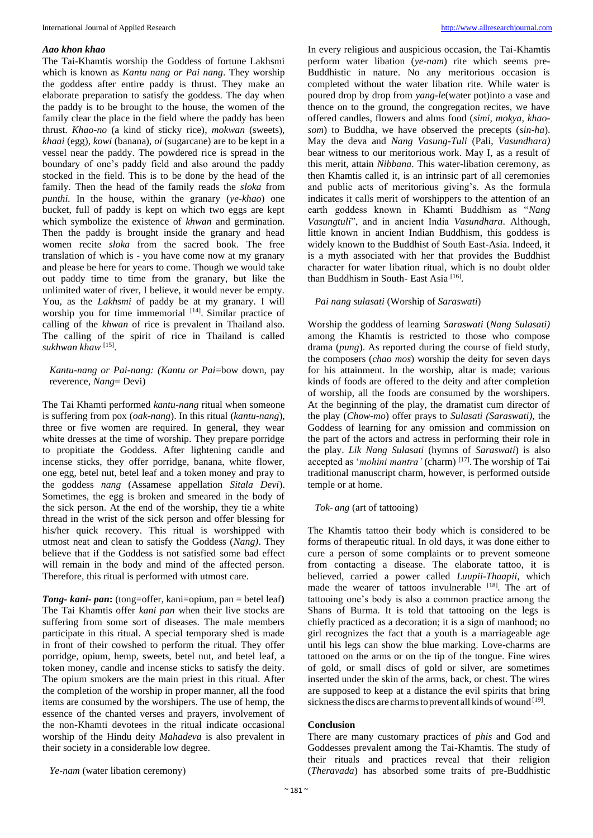### *Aao khon khao*

The Tai-Khamtis worship the Goddess of fortune Lakhsmi which is known as *Kantu nang or Pai nang*. They worship the goddess after entire paddy is thrust. They make an elaborate preparation to satisfy the goddess. The day when the paddy is to be brought to the house, the women of the family clear the place in the field where the paddy has been thrust. *Khao-no* (a kind of sticky rice), *mokwan* (sweets), *khaai* (egg), *kowi* (banana), *oi* (sugarcane) are to be kept in a vessel near the paddy. The powdered rice is spread in the boundary of one's paddy field and also around the paddy stocked in the field. This is to be done by the head of the family. Then the head of the family reads the *sloka* from *punthi.* In the house, within the granary (*ye-khao*) one bucket, full of paddy is kept on which two eggs are kept which symbolize the existence of *khwan* and germination. Then the paddy is brought inside the granary and head women recite *sloka* from the sacred book. The free translation of which is - you have come now at my granary and please be here for years to come. Though we would take out paddy time to time from the granary, but like the unlimited water of river, I believe, it would never be empty. You, as the *Lakhsmi* of paddy be at my granary. I will worship you for time immemorial [14]. Similar practice of calling of the *khwan* of rice is prevalent in Thailand also. The calling of the spirit of rice in Thailand is called *sukhwan khaw* [15] .

### *Kantu-nang or Pai-nang: (Kantu or Pai*=bow down, pay reverence, *Nang*= Devi)

The Tai Khamti performed *kantu-nang* ritual when someone is suffering from pox (*oak-nang*). In this ritual (*kantu-nang*), three or five women are required. In general, they wear white dresses at the time of worship. They prepare porridge to propitiate the Goddess. After lightening candle and incense sticks, they offer porridge, banana, white flower, one egg, betel nut, betel leaf and a token money and pray to the goddess *nang* (Assamese appellation *Sitala Devi*). Sometimes, the egg is broken and smeared in the body of the sick person. At the end of the worship, they tie a white thread in the wrist of the sick person and offer blessing for his/her quick recovery. This ritual is worshipped with utmost neat and clean to satisfy the Goddess (*Nang)*. They believe that if the Goddess is not satisfied some bad effect will remain in the body and mind of the affected person. Therefore, this ritual is performed with utmost care.

*Tong- kani- pan***:** (tong=offer, kani=opium, pan = betel leaf**)** The Tai Khamtis offer *kani pan* when their live stocks are suffering from some sort of diseases. The male members participate in this ritual. A special temporary shed is made in front of their cowshed to perform the ritual. They offer porridge, opium, hemp, sweets, betel nut, and betel leaf, a token money, candle and incense sticks to satisfy the deity. The opium smokers are the main priest in this ritual. After the completion of the worship in proper manner, all the food items are consumed by the worshipers. The use of hemp, the essence of the chanted verses and prayers, involvement of the non-Khamti devotees in the ritual indicate occasional worship of the Hindu deity *Mahadeva* is also prevalent in their society in a considerable low degree.

In every religious and auspicious occasion, the Tai-Khamtis perform water libation (*ye-nam*) rite which seems pre-Buddhistic in nature. No any meritorious occasion is completed without the water libation rite. While water is poured drop by drop from *yang-le*(water pot)into a vase and thence on to the ground, the congregation recites, we have offered candles, flowers and alms food (*simi, mokya, khaosom*) to Buddha, we have observed the precepts (*sin-ha*). May the deva and *Nang Vasung-Tuli* (Pali, *Vasundhara)* bear witness to our meritorious work. May I, as a result of this merit, attain *Nibbana*. This water-libation ceremony, as then Khamtis called it, is an intrinsic part of all ceremonies and public acts of meritorious giving's. As the formula indicates it calls merit of worshippers to the attention of an earth goddess known in Khamti Buddhism as "*Nang Vasungtuli*", and in ancient India *Vasundhara*. Although, little known in ancient Indian Buddhism, this goddess is widely known to the Buddhist of South East-Asia. Indeed, it is a myth associated with her that provides the Buddhist character for water libation ritual, which is no doubt older than Buddhism in South- East Asia<sup>[16]</sup>.

#### *Pai nang sulasati* (Worship of *Saraswati*)

Worship the goddess of learning *Saraswati* (*Nang Sulasati)* among the Khamtis is restricted to those who compose drama (*pung*). As reported during the course of field study, the composers (*chao mos*) worship the deity for seven days for his attainment. In the worship, altar is made; various kinds of foods are offered to the deity and after completion of worship, all the foods are consumed by the worshipers. At the beginning of the play, the dramatist cum director of the play (*Chow-mo*) offer prays to *Sulasati (Saraswati),* the Goddess of learning for any omission and commission on the part of the actors and actress in performing their role in the play. *Lik Nang Sulasati* (hymns of *Saraswati*) is also accepted as '*mohini mantra'* (charm)<sup>[17]</sup>. The worship of Tai traditional manuscript charm, however, is performed outside temple or at home.

#### *Tok- ang* (art of tattooing)

The Khamtis tattoo their body which is considered to be forms of therapeutic ritual. In old days, it was done either to cure a person of some complaints or to prevent someone from contacting a disease. The elaborate tattoo, it is believed, carried a power called *Luupii-Thaapii*, which made the wearer of tattoos invulnerable [18]. The art of tattooing one's body is also a common practice among the Shans of Burma. It is told that tattooing on the legs is chiefly practiced as a decoration; it is a sign of manhood; no girl recognizes the fact that a youth is a marriageable age until his legs can show the blue marking. Love-charms are tattooed on the arms or on the tip of the tongue. Fine wires of gold, or small discs of gold or silver, are sometimes inserted under the skin of the arms, back, or chest. The wires are supposed to keep at a distance the evil spirits that bring sickness the discs are charms to prevent all kinds of wound [19].

#### **Conclusion**

There are many customary practices of *phis* and God and Goddesses prevalent among the Tai-Khamtis. The study of their rituals and practices reveal that their religion (*Theravada*) has absorbed some traits of pre-Buddhistic

*Ye-nam* (water libation ceremony)